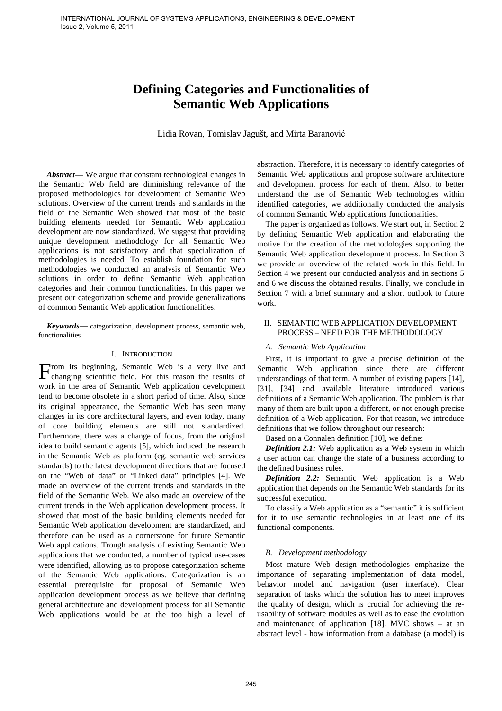# **Defining Categories and Functionalities of Semantic Web Applications**

Lidia Rovan, Tomislav Jagušt, and Mirta Baranović

Abstract— We argue that constant technological changes in the Semantic Web field are diminishing relevance of the proposed methodologies for development of Semantic Web solutions. Overview of the current trends and standards in the field of the Semantic Web showed that most of the basic building elements needed for Semantic Web application development are now standardized. We suggest that providing unique development methodology for all Semantic Web applications is not satisfactory and that specialization of methodologies is needed. To establish foundation for such methodologies we conducted an analysis of Semantic Web solutions in order to define Semantic Web application categories and their common functionalities. In this paper we present our categorization scheme and provide generalizations of common Semantic Web application functionalities.

*Keywords***—** categorization, development process, semantic web, functionalities

## I. INTRODUCTION

rom its beginning, Semantic Web is a very live and From its beginning, Semantic Web is a very live and changing scientific field. For this reason the results of work in the area of Semantic Web application development tend to become obsolete in a short period of time. Also, since its original appearance, the Semantic Web has seen many changes in its core architectural layers, and even today, many of core building elements are still not standardized. Furthermore, there was a change of focus, from the original idea to build semantic agents [5], which induced the research in the Semantic Web as platform (eg. semantic web services standards) to the latest development directions that are focused on the "Web of data" or "Linked data" principles [4]. We made an overview of the current trends and standards in the field of the Semantic Web. We also made an overview of the current trends in the Web application development process. It showed that most of the basic building elements needed for Semantic Web application development are standardized, and therefore can be used as a cornerstone for future Semantic Web applications. Trough analysis of existing Semantic Web applications that we conducted, a number of typical use-cases were identified, allowing us to propose categorization scheme of the Semantic Web applications. Categorization is an essential prerequisite for proposal of Semantic Web application development process as we believe that defining general architecture and development process for all Semantic Web applications would be at the too high a level of

abstraction. Therefore, it is necessary to identify categories of Semantic Web applications and propose software architecture and development process for each of them. Also, to better understand the use of Semantic Web technologies within identified categories, we additionally conducted the analysis of common Semantic Web applications functionalities.

The paper is organized as follows. We start out, in Section 2 by defining Semantic Web application and elaborating the motive for the creation of the methodologies supporting the Semantic Web application development process. In Section 3 we provide an overview of the related work in this field. In Section 4 we present our conducted analysis and in sections 5 and 6 we discuss the obtained results. Finally, we conclude in Section 7 with a brief summary and a short outlook to future work.

# II. SEMANTIC WEB APPLICATION DEVELOPMENT PROCESS – NEED FOR THE METHODOLOGY

## *A. Semantic Web Application*

First, it is important to give a precise definition of the Semantic Web application since there are different understandings of that term. A number of existing papers [14], [31], [34] and available literature introduced various definitions of a Semantic Web application. The problem is that many of them are built upon a different, or not enough precise definition of a Web application. For that reason, we introduce definitions that we follow throughout our research:

Based on a Connalen definition [10], we define:

*Definition 2.1:* Web application as a Web system in which a user action can change the state of a business according to the defined business rules.

*Definition 2.2:* Semantic Web application is a Web application that depends on the Semantic Web standards for its successful execution.

To classify a Web application as a "semantic" it is sufficient for it to use semantic technologies in at least one of its functional components.

# *B. Development methodology*

Most mature Web design methodologies emphasize the importance of separating implementation of data model, behavior model and navigation (user interface). Clear separation of tasks which the solution has to meet improves the quality of design, which is crucial for achieving the reusability of software modules as well as to ease the evolution and maintenance of application [18]. MVC shows – at an abstract level - how information from a database (a model) is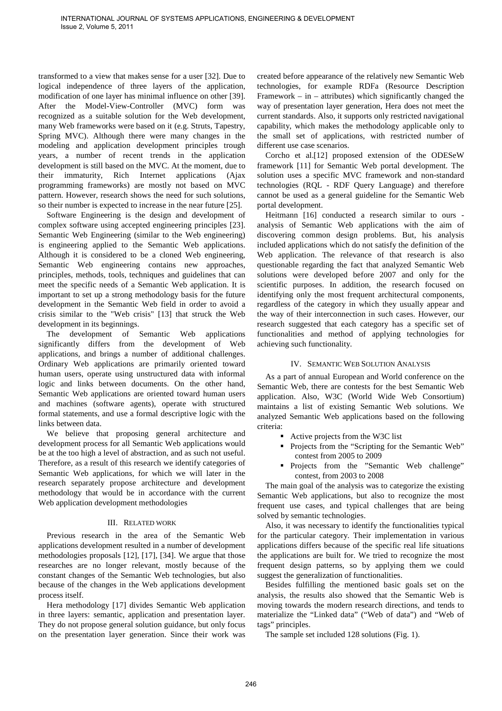transformed to a view that makes sense for a user [32]. Due to logical independence of three layers of the application, modification of one layer has minimal influence on other [39]. After the Model-View-Controller (MVC) form was recognized as a suitable solution for the Web development, many Web frameworks were based on it (e.g. Struts, Tapestry, Spring MVC). Although there were many changes in the modeling and application development principles trough years, a number of recent trends in the application development is still based on the MVC. At the moment, due to their immaturity, Rich Internet applications (Ajax programming frameworks) are mostly not based on MVC pattern. However, research shows the need for such solutions, so their number is expected to increase in the near future [25].

Software Engineering is the design and development of complex software using accepted engineering principles [23]. Semantic Web Engineering (similar to the Web engineering) is engineering applied to the Semantic Web applications. Although it is considered to be a cloned Web engineering, Semantic Web engineering contains new approaches, principles, methods, tools, techniques and guidelines that can meet the specific needs of a Semantic Web application. It is important to set up a strong methodology basis for the future development in the Semantic Web field in order to avoid a crisis similar to the "Web crisis" [13] that struck the Web development in its beginnings.

The development of Semantic Web applications significantly differs from the development of Web applications, and brings a number of additional challenges. Ordinary Web applications are primarily oriented toward human users, operate using unstructured data with informal logic and links between documents. On the other hand, Semantic Web applications are oriented toward human users and machines (software agents), operate with structured formal statements, and use a formal descriptive logic with the links between data.

We believe that proposing general architecture and development process for all Semantic Web applications would be at the too high a level of abstraction, and as such not useful. Therefore, as a result of this research we identify categories of Semantic Web applications, for which we will later in the research separately propose architecture and development methodology that would be in accordance with the current Web application development methodologies

# III. RELATED WORK

Previous research in the area of the Semantic Web applications development resulted in a number of development methodologies proposals [12], [17], [34]. We argue that those researches are no longer relevant, mostly because of the constant changes of the Semantic Web technologies, but also because of the changes in the Web applications development process itself.

Hera methodology [17] divides Semantic Web application in three layers: semantic, application and presentation layer. They do not propose general solution guidance, but only focus on the presentation layer generation. Since their work was created before appearance of the relatively new Semantic Web technologies, for example RDFa (Resource Description Framework – in – attributes) which significantly changed the way of presentation layer generation, Hera does not meet the current standards. Also, it supports only restricted navigational capability, which makes the methodology applicable only to the small set of applications, with restricted number of different use case scenarios.

Corcho et al.[12] proposed extension of the ODESeW framework [11] for Semantic Web portal development. The solution uses a specific MVC framework and non-standard technologies (RQL - RDF Query Language) and therefore cannot be used as a general guideline for the Semantic Web portal development.

Heitmann [16] conducted a research similar to ours analysis of Semantic Web applications with the aim of discovering common design problems. But, his analysis included applications which do not satisfy the definition of the Web application. The relevance of that research is also questionable regarding the fact that analyzed Semantic Web solutions were developed before 2007 and only for the scientific purposes. In addition, the research focused on identifying only the most frequent architectural components, regardless of the category in which they usually appear and the way of their interconnection in such cases. However, our research suggested that each category has a specific set of functionalities and method of applying technologies for achieving such functionality.

# IV. SEMANTIC WEB SOLUTION ANALYSIS

As a part of annual European and World conference on the Semantic Web, there are contests for the best Semantic Web application. Also, W3C (World Wide Web Consortium) maintains a list of existing Semantic Web solutions. We analyzed Semantic Web applications based on the following criteria:

- Active projects from the W3C list
- **Projects from the "Scripting for the Semantic Web"** contest from 2005 to 2009
- **Projects** from the "Semantic Web challenge" contest, from 2003 to 2008

The main goal of the analysis was to categorize the existing Semantic Web applications, but also to recognize the most frequent use cases, and typical challenges that are being solved by semantic technologies.

Also, it was necessary to identify the functionalities typical for the particular category. Their implementation in various applications differs because of the specific real life situations the applications are built for. We tried to recognize the most frequent design patterns, so by applying them we could suggest the generalization of functionalities.

Besides fulfilling the mentioned basic goals set on the analysis, the results also showed that the Semantic Web is moving towards the modern research directions, and tends to materialize the "Linked data" ("Web of data") and "Web of tags" principles.

The sample set included 128 solutions (Fig. 1).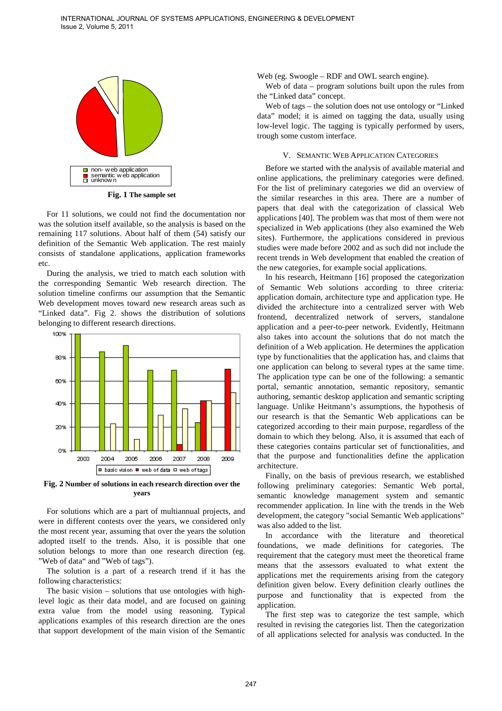

**Fig. 1 The sample set**

For 11 solutions, we could not find the documentation nor was the solution itself available, so the analysis is based on the remaining 117 solutions. About half of them (54) satisfy our definition of the Semantic Web application. The rest mainly consists of standalone applications, application frameworks etc.

During the analysis, we tried to match each solution with the corresponding Semantic Web research direction. The solution timeline confirms our assumption that the Semantic Web development moves toward new research areas such as "Linked data". Fig 2. shows the distribution of solutions belonging to different research directions.



**Fig. 2 Number of solutions in each research direction over the years**

For solutions which are a part of multiannual projects, and were in different contests over the years, we considered only the most recent year, assuming that over the years the solution adopted itself to the trends. Also, it is possible that one solution belongs to more than one research direction (eg. "Web of data" and "Web of tags").

The solution is a part of a research trend if it has the following characteristics:

The basic vision – solutions that use ontologies with highlevel logic as their data model, and are focused on gaining extra value from the model using reasoning. Typical applications examples of this research direction are the ones that support development of the main vision of the Semantic Web (eg. Swoogle – RDF and OWL search engine).

Web of data – program solutions built upon the rules from the "Linked data" concept.

Web of tags – the solution does not use ontology or "Linked data" model; it is aimed on tagging the data, usually using low-level logic. The tagging is typically performed by users, trough some custom interface.

#### V. SEMANTIC WEB APPLICATION CATEGORIES

Before we started with the analysis of available material and online applications, the preliminary categories were defined. For the list of preliminary categories we did an overview of the similar researches in this area. There are a number of papers that deal with the categorization of classical Web applications [40]. The problem was that most of them were not specialized in Web applications (they also examined the Web sites). Furthermore, the applications considered in previous studies were made before 2002 and as such did not include the recent trends in Web development that enabled the creation of the new categories, for example social applications.

In his research, Heitmann [16] proposed the categorization of Semantic Web solutions according to three criteria: application domain, architecture type and application type. He divided the architecture into a centralized server with Web frontend, decentralized network of servers, standalone application and a peer-to-peer network. Evidently, Heitmann also takes into account the solutions that do not match the definition of a Web application. He determines the application type by functionalities that the application has, and claims that one application can belong to several types at the same time. The application type can be one of the following: a semantic portal, semantic annotation, semantic repository, semantic authoring, semantic desktop application and semantic scripting language. Unlike Heitmann's assumptions, the hypothesis of our research is that the Semantic Web applications can be categorized according to their main purpose, regardless of the domain to which they belong. Also, it is assumed that each of these categories contains particular set of functionalities, and that the purpose and functionalities define the application architecture.

Finally, on the basis of previous research, we established following preliminary categories: Semantic Web portal, semantic knowledge management system and semantic recommender application. In line with the trends in the Web development, the category "social Semantic Web applications" was also added to the list.

In accordance with the literature and theoretical foundations, we made definitions for categories. The requirement that the category must meet the theoretical frame means that the assessors evaluated to what extent the applications met the requirements arising from the category definition given below. Every definition clearly outlines the purpose and functionality that is expected from the application.

The first step was to categorize the test sample, which resulted in revising the categories list. Then the categorization of all applications selected for analysis was conducted. In the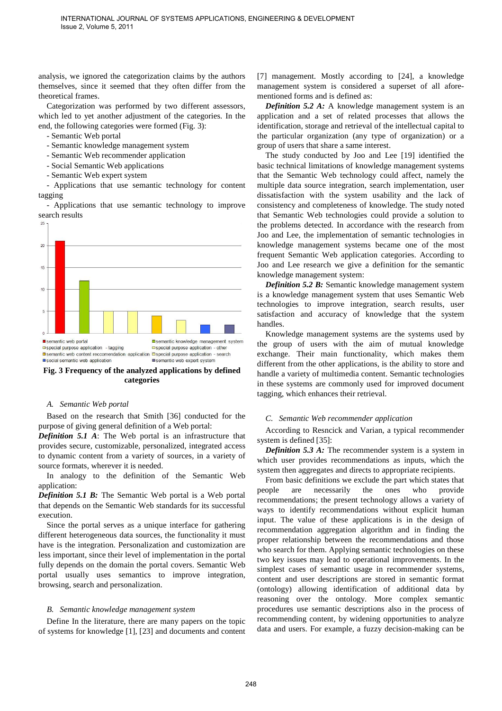analysis, we ignored the categorization claims by the authors themselves, since it seemed that they often differ from the theoretical frames.

Categorization was performed by two different assessors, which led to yet another adjustment of the categories. In the end, the following categories were formed (Fig. 3):

- Semantic Web portal
- Semantic knowledge management system
- Semantic Web recommender application
- Social Semantic Web applications
- Semantic Web expert system

- Applications that use semantic technology for content tagging

- Applications that use semantic technology to improve search results



**Fig. 3 Frequency of the analyzed applications by defined categories** 

#### *A. Semantic Web portal*

Based on the research that Smith [36] conducted for the purpose of giving general definition of a Web portal:

*Definition 5.1 A*: The Web portal is an infrastructure that provides secure, customizable, personalized, integrated access to dynamic content from a variety of sources, in a variety of source formats, wherever it is needed.

In analogy to the definition of the Semantic Web application:

*Definition 5.1 B:* The Semantic Web portal is a Web portal that depends on the Semantic Web standards for its successful execution.

Since the portal serves as a unique interface for gathering different heterogeneous data sources, the functionality it must have is the integration. Personalization and customization are less important, since their level of implementation in the portal fully depends on the domain the portal covers. Semantic Web portal usually uses semantics to improve integration, browsing, search and personalization.

# *B. Semantic knowledge management system*

Define In the literature, there are many papers on the topic of systems for knowledge [1], [23] and documents and content [7] management. Mostly according to [24], a knowledge management system is considered a superset of all aforementioned forms and is defined as:

*Definition 5.2 A:* A knowledge management system is an application and a set of related processes that allows the identification, storage and retrieval of the intellectual capital to the particular organization (any type of organization) or a group of users that share a same interest.

The study conducted by Joo and Lee [19] identified the basic technical limitations of knowledge management systems that the Semantic Web technology could affect, namely the multiple data source integration, search implementation, user dissatisfaction with the system usability and the lack of consistency and completeness of knowledge. The study noted that Semantic Web technologies could provide a solution to the problems detected. In accordance with the research from Joo and Lee, the implementation of semantic technologies in knowledge management systems became one of the most frequent Semantic Web application categories. According to Joo and Lee research we give a definition for the semantic knowledge management system:

*Definition 5.2 B:* Semantic knowledge management system is a knowledge management system that uses Semantic Web technologies to improve integration, search results, user satisfaction and accuracy of knowledge that the system handles.

Knowledge management systems are the systems used by the group of users with the aim of mutual knowledge exchange. Their main functionality, which makes them different from the other applications, is the ability to store and handle a variety of multimedia content. Semantic technologies in these systems are commonly used for improved document tagging, which enhances their retrieval.

# *C. Semantic Web recommender application*

According to Resncick and Varian, a typical recommender system is defined [35]:

*Definition 5.3 A:* The recommender system is a system in which user provides recommendations as inputs, which the system then aggregates and directs to appropriate recipients.

From basic definitions we exclude the part which states that people are necessarily the ones who provide recommendations; the present technology allows a variety of ways to identify recommendations without explicit human input. The value of these applications is in the design of recommendation aggregation algorithm and in finding the proper relationship between the recommendations and those who search for them. Applying semantic technologies on these two key issues may lead to operational improvements. In the simplest cases of semantic usage in recommender systems, content and user descriptions are stored in semantic format (ontology) allowing identification of additional data by reasoning over the ontology. More complex semantic procedures use semantic descriptions also in the process of recommending content, by widening opportunities to analyze data and users. For example, a fuzzy decision-making can be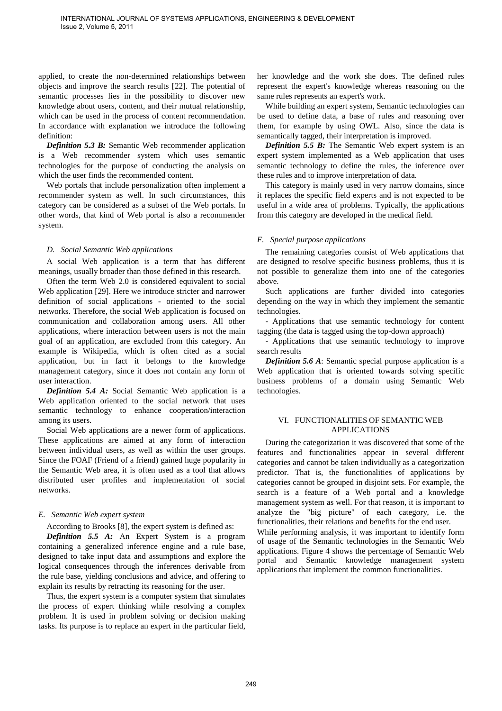applied, to create the non-determined relationships between objects and improve the search results [22]. The potential of semantic processes lies in the possibility to discover new knowledge about users, content, and their mutual relationship, which can be used in the process of content recommendation. In accordance with explanation we introduce the following definition:

*Definition 5.3 B:* Semantic Web recommender application is a Web recommender system which uses semantic technologies for the purpose of conducting the analysis on which the user finds the recommended content.

Web portals that include personalization often implement a recommender system as well. In such circumstances, this category can be considered as a subset of the Web portals. In other words, that kind of Web portal is also a recommender system.

# *D. Social Semantic Web applications*

A social Web application is a term that has different meanings, usually broader than those defined in this research.

Often the term Web 2.0 is considered equivalent to social Web application [29]. Here we introduce stricter and narrower definition of social applications - oriented to the social networks. Therefore, the social Web application is focused on communication and collaboration among users. All other applications, where interaction between users is not the main goal of an application, are excluded from this category. An example is Wikipedia, which is often cited as a social application, but in fact it belongs to the knowledge management category, since it does not contain any form of user interaction.

*Definition 5.4 A:* Social Semantic Web application is a Web application oriented to the social network that uses semantic technology to enhance cooperation/interaction among its users.

Social Web applications are a newer form of applications. These applications are aimed at any form of interaction between individual users, as well as within the user groups. Since the FOAF (Friend of a friend) gained huge popularity in the Semantic Web area, it is often used as a tool that allows distributed user profiles and implementation of social networks.

# *E. Semantic Web expert system*

According to Brooks [8], the expert system is defined as:

*Definition 5.5 A:* An Expert System is a program containing a generalized inference engine and a rule base, designed to take input data and assumptions and explore the logical consequences through the inferences derivable from the rule base, yielding conclusions and advice, and offering to explain its results by retracting its reasoning for the user.

Thus, the expert system is a computer system that simulates the process of expert thinking while resolving a complex problem. It is used in problem solving or decision making tasks. Its purpose is to replace an expert in the particular field,

her knowledge and the work she does. The defined rules represent the expert's knowledge whereas reasoning on the same rules represents an expert's work.

While building an expert system, Semantic technologies can be used to define data, a base of rules and reasoning over them, for example by using OWL. Also, since the data is semantically tagged, their interpretation is improved.

*Definition 5.5 B:* The Semantic Web expert system is an expert system implemented as a Web application that uses semantic technology to define the rules, the inference over these rules and to improve interpretation of data.

This category is mainly used in very narrow domains, since it replaces the specific field experts and is not expected to be useful in a wide area of problems. Typically, the applications from this category are developed in the medical field.

# *F. Special purpose applications*

The remaining categories consist of Web applications that are designed to resolve specific business problems, thus it is not possible to generalize them into one of the categories above.

Such applications are further divided into categories depending on the way in which they implement the semantic technologies.

- Applications that use semantic technology for content tagging (the data is tagged using the top-down approach)

- Applications that use semantic technology to improve search results

*Definition 5.6 A*: Semantic special purpose application is a Web application that is oriented towards solving specific business problems of a domain using Semantic Web technologies.

# VI. FUNCTIONALITIES OF SEMANTIC WEB APPLICATIONS

During the categorization it was discovered that some of the features and functionalities appear in several different categories and cannot be taken individually as a categorization predictor. That is, the functionalities of applications by categories cannot be grouped in disjoint sets. For example, the search is a feature of a Web portal and a knowledge management system as well. For that reason, it is important to analyze the "big picture" of each category, i.e. the functionalities, their relations and benefits for the end user.

While performing analysis, it was important to identify form of usage of the Semantic technologies in the Semantic Web applications. Figure 4 shows the percentage of Semantic Web portal and Semantic knowledge management system applications that implement the common functionalities.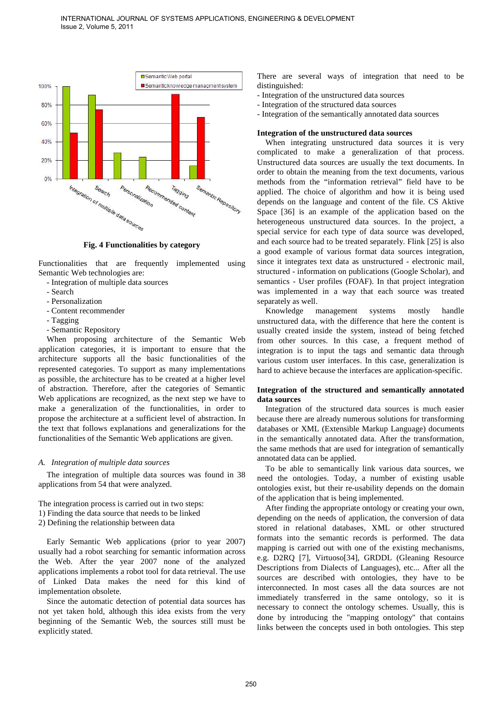

**Fig. 4 Functionalities by category** 

Functionalities that are frequently implemented using Semantic Web technologies are:

- Integration of multiple data sources
- Search
- Personalization
- Content recommender
- Tagging
- Semantic Repository

When proposing architecture of the Semantic Web application categories, it is important to ensure that the architecture supports all the basic functionalities of the represented categories. To support as many implementations as possible, the architecture has to be created at a higher level of abstraction. Therefore, after the categories of Semantic Web applications are recognized, as the next step we have to make a generalization of the functionalities, in order to propose the architecture at a sufficient level of abstraction. In the text that follows explanations and generalizations for the functionalities of the Semantic Web applications are given.

# *A. Integration of multiple data sources*

The integration of multiple data sources was found in 38 applications from 54 that were analyzed.

The integration process is carried out in two steps:

- 1) Finding the data source that needs to be linked
- 2) Defining the relationship between data

Early Semantic Web applications (prior to year 2007) usually had a robot searching for semantic information across the Web. After the year 2007 none of the analyzed applications implements a robot tool for data retrieval. The use of Linked Data makes the need for this kind of implementation obsolete.

Since the automatic detection of potential data sources has not yet taken hold, although this idea exists from the very beginning of the Semantic Web, the sources still must be explicitly stated.

There are several ways of integration that need to be distinguished:

- Integration of the unstructured data sources
- Integration of the structured data sources
- Integration of the semantically annotated data sources

# **Integration of the unstructured data sources**

When integrating unstructured data sources it is very complicated to make a generalization of that process. Unstructured data sources are usually the text documents. In order to obtain the meaning from the text documents, various methods from the "information retrieval" field have to be applied. The choice of algorithm and how it is being used depends on the language and content of the file. CS Aktive Space [36] is an example of the application based on the heterogeneous unstructured data sources. In the project, a special service for each type of data source was developed, and each source had to be treated separately. Flink [25] is also a good example of various format data sources integration, since it integrates text data as unstructured - electronic mail, structured - information on publications (Google Scholar), and semantics - User profiles (FOAF). In that project integration was implemented in a way that each source was treated separately as well.

Knowledge management systems mostly handle unstructured data, with the difference that here the content is usually created inside the system, instead of being fetched from other sources. In this case, a frequent method of integration is to input the tags and semantic data through various custom user interfaces. In this case, generalization is hard to achieve because the interfaces are application-specific.

# **Integration of the structured and semantically annotated data sources**

Integration of the structured data sources is much easier because there are already numerous solutions for transforming databases or XML (Extensible Markup Language) documents in the semantically annotated data. After the transformation, the same methods that are used for integration of semantically annotated data can be applied.

To be able to semantically link various data sources, we need the ontologies. Today, a number of existing usable ontologies exist, but their re-usability depends on the domain of the application that is being implemented.

After finding the appropriate ontology or creating your own, depending on the needs of application, the conversion of data stored in relational databases, XML or other structured formats into the semantic records is performed. The data mapping is carried out with one of the existing mechanisms, e.g. D2RQ [7], Virtuoso[34], GRDDL (Gleaning Resource Descriptions from Dialects of Languages), etc... After all the sources are described with ontologies, they have to be interconnected. In most cases all the data sources are not immediately transferred in the same ontology, so it is necessary to connect the ontology schemes. Usually, this is done by introducing the "mapping ontology" that contains links between the concepts used in both ontologies. This step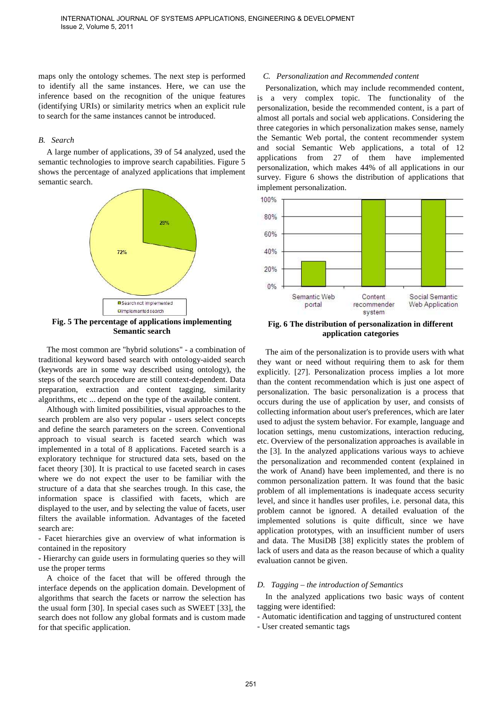maps only the ontology schemes. The next step is performed to identify all the same instances. Here, we can use the inference based on the recognition of the unique features (identifying URIs) or similarity metrics when an explicit rule to search for the same instances cannot be introduced.

## *B. Search*

A large number of applications, 39 of 54 analyzed, used the semantic technologies to improve search capabilities. Figure 5 shows the percentage of analyzed applications that implement semantic search.



**Fig. 5 The percentage of applications implementing Semantic search** 

The most common are "hybrid solutions" - a combination of traditional keyword based search with ontology-aided search (keywords are in some way described using ontology), the steps of the search procedure are still context-dependent. Data preparation, extraction and content tagging, similarity algorithms, etc ... depend on the type of the available content.

Although with limited possibilities, visual approaches to the search problem are also very popular - users select concepts and define the search parameters on the screen. Conventional approach to visual search is faceted search which was implemented in a total of 8 applications. Faceted search is a exploratory technique for structured data sets, based on the facet theory [30]. It is practical to use faceted search in cases where we do not expect the user to be familiar with the structure of a data that she searches trough. In this case, the information space is classified with facets, which are displayed to the user, and by selecting the value of facets, user filters the available information. Advantages of the faceted search are:

- Facet hierarchies give an overview of what information is contained in the repository

- Hierarchy can guide users in formulating queries so they will use the proper terms

A choice of the facet that will be offered through the interface depends on the application domain. Development of algorithms that search the facets or narrow the selection has the usual form [30]. In special cases such as SWEET [33], the search does not follow any global formats and is custom made for that specific application.

# *C. Personalization and Recommended content*

Personalization, which may include recommended content, is a very complex topic. The functionality of the personalization, beside the recommended content, is a part of almost all portals and social web applications. Considering the three categories in which personalization makes sense, namely the Semantic Web portal, the content recommender system and social Semantic Web applications, a total of 12 applications from 27 of them have implemented personalization, which makes 44% of all applications in our survey. Figure 6 shows the distribution of applications that implement personalization.



**Fig. 6 The distribution of personalization in different application categories** 

The aim of the personalization is to provide users with what they want or need without requiring them to ask for them explicitly. [27]. Personalization process implies a lot more than the content recommendation which is just one aspect of personalization. The basic personalization is a process that occurs during the use of application by user, and consists of collecting information about user's preferences, which are later used to adjust the system behavior. For example, language and location settings, menu customizations, interaction reducing, etc. Overview of the personalization approaches is available in the [3]. In the analyzed applications various ways to achieve the personalization and recommended content (explained in the work of Anand) have been implemented, and there is no common personalization pattern. It was found that the basic problem of all implementations is inadequate access security level, and since it handles user profiles, i.e. personal data, this problem cannot be ignored. A detailed evaluation of the implemented solutions is quite difficult, since we have application prototypes, with an insufficient number of users and data. The MusiDB [38] explicitly states the problem of lack of users and data as the reason because of which a quality evaluation cannot be given.

### *D. Tagging – the introduction of Semantics*

In the analyzed applications two basic ways of content tagging were identified:

- Automatic identification and tagging of unstructured content

- User created semantic tags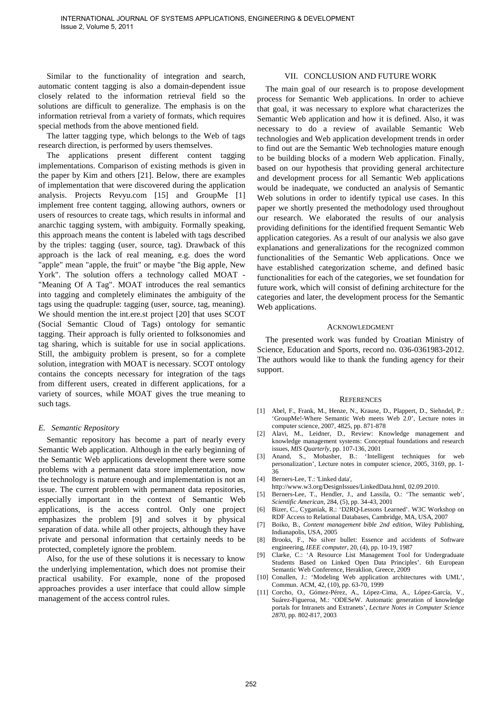Similar to the functionality of integration and search, automatic content tagging is also a domain-dependent issue closely related to the information retrieval field so the solutions are difficult to generalize. The emphasis is on the information retrieval from a variety of formats, which requires special methods from the above mentioned field.

The latter tagging type, which belongs to the Web of tags research direction, is performed by users themselves.

The applications present different content tagging implementations. Comparison of existing methods is given in the paper by Kim and others [21]. Below, there are examples of implementation that were discovered during the application analysis. Projects Revyu.com [15] and GroupMe [1] implement free content tagging, allowing authors, owners or users of resources to create tags, which results in informal and anarchic tagging system, with ambiguity. Formally speaking, this approach means the content is labeled with tags described by the triples: tagging (user, source, tag). Drawback of this approach is the lack of real meaning, e.g. does the word "apple" mean "apple, the fruit" or maybe "the Big apple, New York". The solution offers a technology called MOAT - "Meaning Of A Tag". MOAT introduces the real semantics into tagging and completely eliminates the ambiguity of the tags using the quadruple: tagging (user, source, tag, meaning). We should mention the int.ere.st project [20] that uses SCOT (Social Semantic Cloud of Tags) ontology for semantic tagging. Their approach is fully oriented to folksonomies and tag sharing, which is suitable for use in social applications. Still, the ambiguity problem is present, so for a complete solution, integration with MOAT is necessary. SCOT ontology contains the concepts necessary for integration of the tags from different users, created in different applications, for a variety of sources, while MOAT gives the true meaning to such tags.

# *E. Semantic Repository*

Semantic repository has become a part of nearly every Semantic Web application. Although in the early beginning of the Semantic Web applications development there were some problems with a permanent data store implementation, now the technology is mature enough and implementation is not an issue. The current problem with permanent data repositories, especially important in the context of Semantic Web applications, is the access control. Only one project emphasizes the problem [9] and solves it by physical separation of data. while all other projects, although they have private and personal information that certainly needs to be protected, completely ignore the problem.

Also, for the use of these solutions it is necessary to know the underlying implementation, which does not promise their practical usability. For example, none of the proposed approaches provides a user interface that could allow simple management of the access control rules.

## VII. CONCLUSION AND FUTURE WORK

The main goal of our research is to propose development process for Semantic Web applications. In order to achieve that goal, it was necessary to explore what characterizes the Semantic Web application and how it is defined. Also, it was necessary to do a review of available Semantic Web technologies and Web application development trends in order to find out are the Semantic Web technologies mature enough to be building blocks of a modern Web application. Finally, based on our hypothesis that providing general architecture and development process for all Semantic Web applications would be inadequate, we conducted an analysis of Semantic Web solutions in order to identify typical use cases. In this paper we shortly presented the methodology used throughout our research. We elaborated the results of our analysis providing definitions for the identified frequent Semantic Web application categories. As a result of our analysis we also gave explanations and generalizations for the recognized common functionalities of the Semantic Web applications. Once we have established categorization scheme, and defined basic functionalities for each of the categories, we set foundation for future work, which will consist of defining architecture for the categories and later, the development process for the Semantic Web applications.

#### ACKNOWLEDGMENT

The presented work was funded by Croatian Ministry of Science, Education and Sports, record no. 036-0361983-2012. The authors would like to thank the funding agency for their support.

#### **REFERENCES**

- [1] Abel, F., Frank, M., Henze, N., Krause, D., Plappert, D., Siehndel, P.: 'GroupMe!-Where Semantic Web meets Web 2.0', Lecture notes in computer science, 2007, 4825, pp. 871-878
- [2] Alavi, M., Leidner, D., Review: Knowledge management and knowledge management systems: Conceptual foundations and research issues, *MIS Quarterly*, pp. 107-136, 2001
- [3] Anand, S., Mobasher, B.: 'Intelligent techniques for web personalization', Lecture notes in computer science, 2005, 3169, pp. 1- 36
- [4] Berners-Lee, T.: 'Linked data',
- http://www.w3.org/DesignIssues/LinkedData.html, 02.09.2010.
- [5] Berners-Lee, T., Hendler, J., and Lassila, O.: 'The semantic web', *Scientific American*, 284, (5), pp. 34-43, 2001
- [6] Bizer, C., Cyganiak, R.: 'D2RQ-Lessons Learned'. W3C Workshop on RDF Access to Relational Databases, Cambridge, MA, USA, 2007
- [7] Boiko, B., *Content management bible 2nd edition*, Wiley Publishing, Indianapolis, USA, 2005
- [8] Brooks, F., No silver bullet: Essence and accidents of Software engineering, *IEEE computer*, 20, (4), pp. 10-19, 1987
- [9] Clarke, C.: 'A Resource List Management Tool for Undergraduate Students Based on Linked Open Data Principles'. 6th European Semantic Web Conference, Heraklion, Greece, 2009
- [10] Conallen, J.: 'Modeling Web application architectures with UML', Commun. ACM, 42, (10), pp. 63-70, 1999
- [11] Corcho, O., Gómez-Pérez, A., López-Cima, A., López-García, V., Suárez-Figueroa, M.: 'ODESeW. Automatic generation of knowledge portals for Intranets and Extranets', *Lecture Notes in Computer Science 2870*, pp. 802-817, 2003